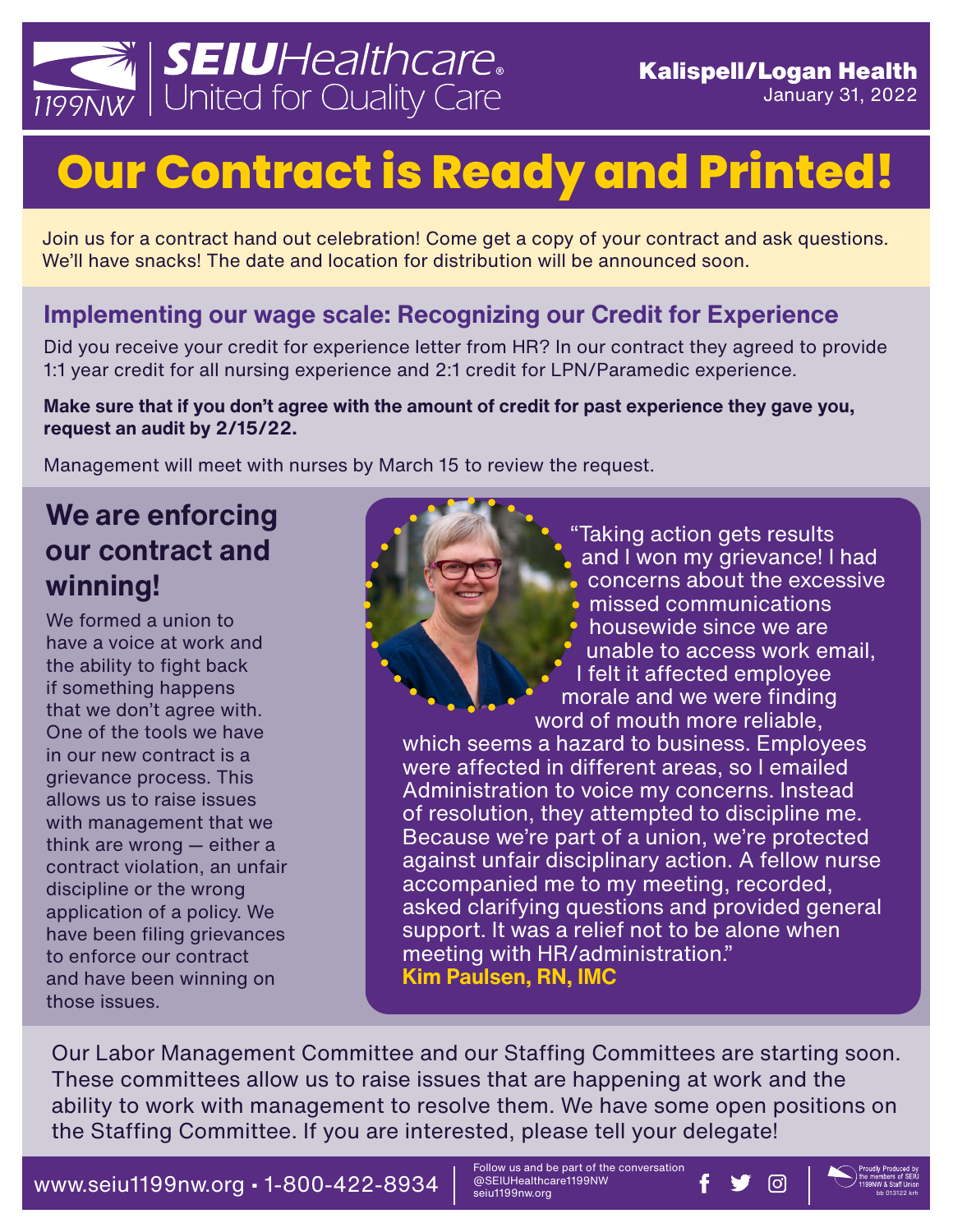

# **Our Contract is Ready and Printed!**

Join us for a contract hand out celebration! Come get a copy of your contract and ask questions. We'll have snacks! The date and location for distribution will be announced soon.

#### **Implementing our wage scale: Recognizing our Credit for Experience**

Did you receive your credit for experience letter from HR? In our contract they agreed to provide 1:1 year credit for all nursing experience and 2:1 credit for LPN/Paramedic experience.

**Make sure that if you don't agree with the amount of credit for past experience they gave you, request an audit by 2/15/22.** 

Management will meet with nurses by March 15 to review the request.

### **We are enforcing our contract and winning!**

We formed a union to have a voice at work and the ability to fight back if something happens that we don't agree with. One of the tools we have in our new contract is a grievance process. This allows us to raise issues with management that we think are wrong — either a contract violation, an unfair discipline or the wrong application of a policy. We have been filing grievances to enforce our contract and have been winning on those issues.

"Taking action gets results and I won my grievance! I had concerns about the excessive missed communications housewide since we are unable to access work email, I felt it affected employee morale and we were finding word of mouth more reliable, which seems a hazard to business. Employees

were affected in different areas, so I emailed Administration to voice my concerns. Instead of resolution, they attempted to discipline me. Because we're part of a union, we're protected against unfair disciplinary action. A fellow nurse accompanied me to my meeting, recorded, asked clarifying questions and provided general support. It was a relief not to be alone when meeting with HR/administration." **Kim Paulsen, RN, IMC**

Our Labor Management Committee and our Staffing Committees are starting soon. These committees allow us to raise issues that are happening at work and the ability to work with management to resolve them. We have some open positions on the Staffing Committee. If you are interested, please tell your delegate!

WWW.Seiu1199nw.org • 1-800-422-8934  $\parallel$  @SEIUHealthcare1199NW **f**  $\blacksquare$ 

Follow us and be part of the conversation<br>@SEIUHealthcare1199NW